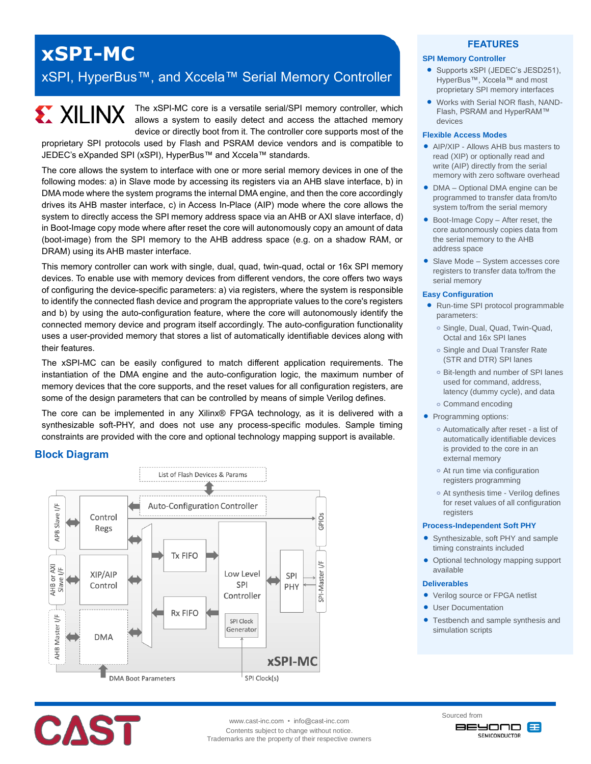# **xSPI-MC**

# xSPI, HyperBus™, and Xccela™ Serial Memory Controller

# **EXILINX**

The xSPI-MC core is a versatile serial/SPI memory controller, which allows a system to easily detect and access the attached memory device or directly boot from it. The controller core supports most of the

proprietary SPI protocols used by Flash and PSRAM device vendors and is compatible to JEDEC's eXpanded SPI (xSPI), HyperBus™ and Xccela™ standards.

The core allows the system to interface with one or more serial memory devices in one of the following modes: a) in Slave mode by accessing its registers via an AHB slave interface, b) in DMA mode where the system programs the internal DMA engine, and then the core accordingly drives its AHB master interface, c) in Access In-Place (AIP) mode where the core allows the system to directly access the SPI memory address space via an AHB or AXI slave interface, d) in Boot-Image copy mode where after reset the core will autonomously copy an amount of data (boot-image) from the SPI memory to the AHB address space (e.g. on a shadow RAM, or DRAM) using its AHB master interface.

This memory controller can work with single, dual, quad, twin-quad, octal or 16x SPI memory devices. To enable use with memory devices from different vendors, the core offers two ways of configuring the device-specific parameters: a) via registers, where the system is responsible to identify the connected flash device and program the appropriate values to the core's registers and b) by using the auto-configuration feature, where the core will autonomously identify the connected memory device and program itself accordingly. The auto-configuration functionality uses a user-provided memory that stores a list of automatically identifiable devices along with their features.

The xSPI-MC can be easily configured to match different application requirements. The instantiation of the DMA engine and the auto-configuration logic, the maximum number of memory devices that the core supports, and the reset values for all configuration registers, are some of the design parameters that can be controlled by means of simple Verilog defines.

The core can be implemented in any Xilinx® FPGA technology, as it is delivered with a synthesizable soft-PHY, and does not use any process-specific modules. Sample timing constraints are provided with the core and optional technology mapping support is available.

# **Block Diagram**





www.cast-inc.com • info@cast-inc.com Contents subject to change without notice. Trademarks are the property of their respective owners

# **FEATURES**

#### **SPI Memory Controller**

- Supports xSPI (JEDEC's JESD251), HyperBus™, Xccela™ and most proprietary SPI memory interfaces
- Works with Serial NOR flash, NAND-Flash, PSRAM and HyperRAM™ devices

#### **Flexible Access Modes**

- **AIP/XIP Allows AHR bus masters to** read (XIP) or optionally read and write (AIP) directly from the serial memory with zero software overhead
- DMA Optional DMA engine can be programmed to transfer data from/to system to/from the serial memory
- Boot-Image Copy After reset, the core autonomously copies data from the serial memory to the AHB address space
- Slave Mode System accesses core registers to transfer data to/from the serial memory

#### **Easy Configuration**

- Run-time SPI protocol programmable parameters:
	- **o** Single, Dual, Quad, Twin-Quad, Octal and 16x SPI lanes
	- **o** Single and Dual Transfer Rate (STR and DTR) SPI lanes
	- **o** Bit-length and number of SPI lanes used for command, address, latency (dummy cycle), and data
	- **o** Command encoding
- Programming options:
	- **o** Automatically after reset a list of automatically identifiable devices is provided to the core in an external memory
	- **o** At run time via configuration registers programming
	- **o** At synthesis time Verilog defines for reset values of all configuration registers

#### **Process-Independent Soft PHY**

- Synthesizable, soft PHY and sample timing constraints included
- Optional technology mapping support available

#### **Deliverables**

- Verilog source or FPGA netlist
- User Documentation
- Testbench and sample synthesis and simulation scripts

Sourced from **BEYOND 83 SEMICONDUCTOR**